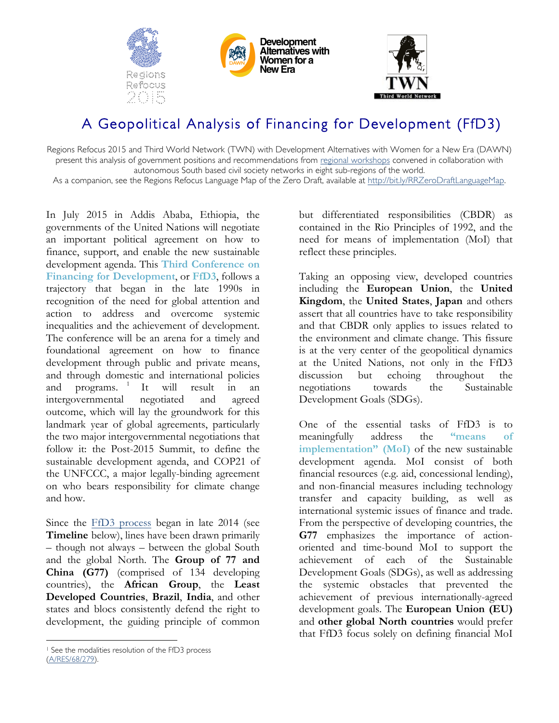





# A Geopolitical Analysis of Financing for Development (FfD3)

Regions Refocus 2015 and Third World Network (TWN) with Development Alternatives with Women for a New Era (DAWN) present this analysis of government positions and recommendations from [regional workshops](http://www.daghammarskjold.se/regions-refocus-2015-report/) convened in collaboration with autonomous South based civil society networks in eight sub-regions of the world.

As a companion, see the Regions Refocus Language Map of the Zero Draft, available at http://bit.ly/RRZeroDraftLanguageMap.

In July 2015 in Addis Ababa, Ethiopia, the governments of the United Nations will negotiate an important political agreement on how to finance, support, and enable the new sustainable development agenda. This **Third Conference on Financing for Development**, or **FfD3**, follows a trajectory that began in the late 1990s in recognition of the need for global attention and action to address and overcome systemic inequalities and the achievement of development. The conference will be an arena for a timely and foundational agreement on how to finance development through public and private means, and through domestic and international policies and programs. <sup>1</sup> It will result in an intergovernmental negotiated and agreed outcome, which will lay the groundwork for this landmark year of global agreements, particularly the two major intergovernmental negotiations that follow it: the Post-2015 Summit, to define the sustainable development agenda, and COP21 of the UNFCCC, a major legally-binding agreement on who bears responsibility for climate change and how.

Since the [FfD3 process](http://www.un.org/esa/ffd/overview/third-conference-ffd.html) began in late 2014 (see **Timeline** below), lines have been drawn primarily – though not always – between the global South and the global North. The **Group of 77 and China (G77)** (comprised of 134 developing countries), the **African Group**, the **Least Developed Countries**, **Brazil**, **India**, and other states and blocs consistently defend the right to development, the guiding principle of common

Taking an opposing view, developed countries including the **European Union**, the **United Kingdom**, the **United States**, **Japan** and others assert that all countries have to take responsibility and that CBDR only applies to issues related to the environment and climate change. This fissure is at the very center of the geopolitical dynamics at the United Nations, not only in the FfD3 discussion but echoing throughout the negotiations towards the Sustainable Development Goals (SDGs).

One of the essential tasks of FfD3 is to meaningfully address the **"means of implementation" (MoI)** of the new sustainable development agenda. MoI consist of both financial resources (e.g. aid, concessional lending), and non-financial measures including technology transfer and capacity building, as well as international systemic issues of finance and trade. From the perspective of developing countries, the **G77** emphasizes the importance of actionoriented and time-bound MoI to support the achievement of each of the Sustainable Development Goals (SDGs), as well as addressing the systemic obstacles that prevented the achievement of previous internationally-agreed development goals. The **European Union (EU)** and **other global North countries** would prefer that FfD3 focus solely on defining financial MoI

but differentiated responsibilities (CBDR) as contained in the Rio Principles of 1992, and the need for means of implementation (MoI) that reflect these principles.

<sup>&</sup>lt;sup>1</sup> See the modalities resolution of the FfD3 process [\(A/RES/68/279](http://www.un.org/en/ga/search/view_doc.asp?symbol=A/RES/68/279)).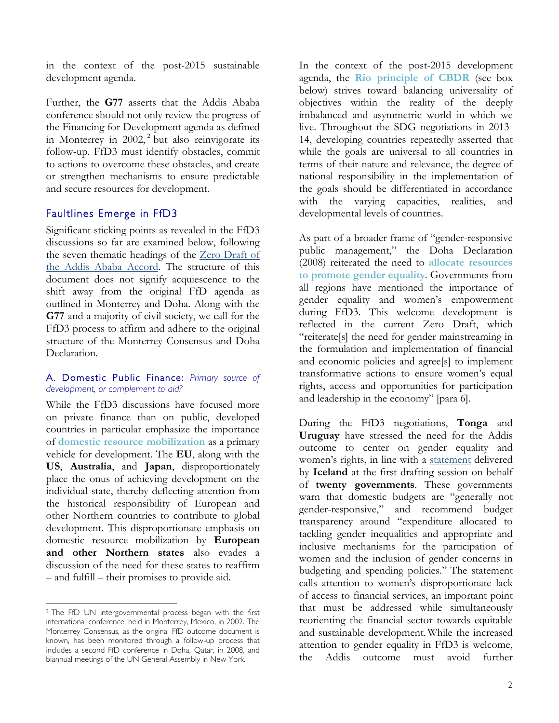in the context of the post-2015 sustainable development agenda.

Further, the **G77** asserts that the Addis Ababa conference should not only review the progress of the Financing for Development agenda as defined in Monterrey in 2002, <sup>2</sup> but also reinvigorate its follow-up. FfD3 must identify obstacles, commit to actions to overcome these obstacles, and create or strengthen mechanisms to ensure predictable and secure resources for development.

### Faultlines Emerge in FfD3

Significant sticking points as revealed in the FfD3 discussions so far are examined below, following the seven thematic headings of the [Zero Draft](http://www.un.org/esa/ffd/wp-content/uploads/2015/03/1ds-zero-draft-outcome.pdf) of [the Addis Ababa Accord.](http://www.un.org/esa/ffd/wp-content/uploads/2015/03/1ds-zero-draft-outcome.pdf) The structure of this document does not signify acquiescence to the shift away from the original FfD agenda as outlined in Monterrey and Doha. Along with the **G77** and a majority of civil society, we call for the FfD3 process to affirm and adhere to the original structure of the Monterrey Consensus and Doha Declaration.

### A. Domestic Public Finance: *Primary source of development, or complement to aid?*

While the FfD3 discussions have focused more on private finance than on public, developed countries in particular emphasize the importance of **domestic resource mobilization** as a primary vehicle for development. The **EU**, along with the **US**, **Australia**, and **Japan**, disproportionately place the onus of achieving development on the individual state, thereby deflecting attention from the historical responsibility of European and other Northern countries to contribute to global development. This disproportionate emphasis on domestic resource mobilization by **European and other Northern states** also evades a discussion of the need for these states to reaffirm – and fulfill – their promises to provide aid.

In the context of the post-2015 development agenda, the **Rio principle of CBDR** (see box below) strives toward balancing universality of objectives within the reality of the deeply imbalanced and asymmetric world in which we live. Throughout the SDG negotiations in 2013- 14, developing countries repeatedly asserted that while the goals are universal to all countries in terms of their nature and relevance, the degree of national responsibility in the implementation of the goals should be differentiated in accordance with the varying capacities, realities, and developmental levels of countries.

As part of a broader frame of "gender-responsive public management," the Doha Declaration (2008) reiterated the need to **allocate resources to promote gender equality**. Governments from all regions have mentioned the importance of gender equality and women's empowerment during FfD3. This welcome development is reflected in the current Zero Draft, which "reiterate[s] the need for gender mainstreaming in the formulation and implementation of financial and economic policies and agree[s] to implement transformative actions to ensure women's equal rights, access and opportunities for participation and leadership in the economy" [para 6].

During the FfD3 negotiations, **Tonga** and **Uruguay** have stressed the need for the Addis outcome to center on gender equality and women's rights, in line with a [statement](http://www.un.org/esa/ffd/wp-content/uploads/2015/01/1ds-gender-Statement-Iceland-Jan2015.pdf) delivered by **Iceland** at the first drafting session on behalf of **twenty governments**. These governments warn that domestic budgets are "generally not gender-responsive," and recommend budget transparency around "expenditure allocated to tackling gender inequalities and appropriate and inclusive mechanisms for the participation of women and the inclusion of gender concerns in budgeting and spending policies." The statement calls attention to women's disproportionate lack of access to financial services, an important point that must be addressed while simultaneously reorienting the financial sector towards equitable and sustainable development. While the increased attention to gender equality in FfD3 is welcome, the Addis outcome must avoid further

 <sup>2</sup> The FfD UN intergovernmental process began with the first international conference, held in Monterrey, Mexico, in 2002. The Monterrey Consensus, as the original FfD outcome document is known, has been monitored through a follow-up process that includes a second FfD conference in Doha, Qatar, in 2008, and biannual meetings of the UN General Assembly in New York.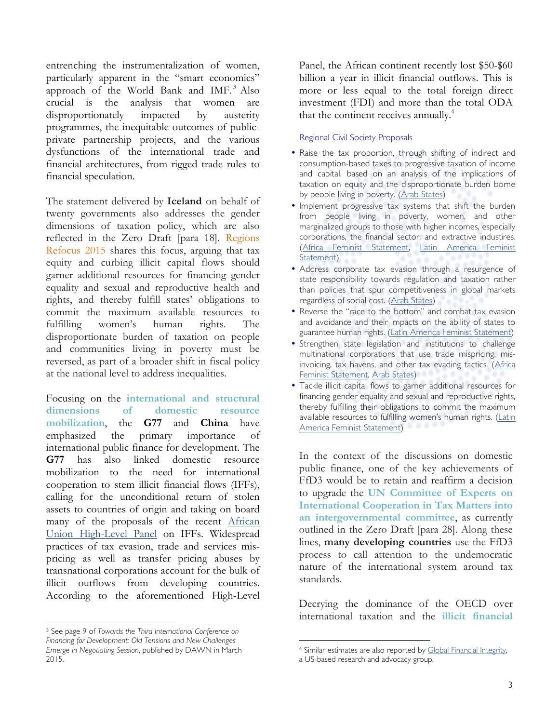entrenching the instrumentalization of women, particularly apparent in the "smart economics" approach of the World Bank and IMF. <sup>3</sup> Also crucial is the analysis that women are disproportionately impacted by austerity programmes, the inequitable outcomes of publicprivate partnership projects, and the various dysfunctions of the international trade and financial architectures, from rigged trade rules to financial speculation.

The statement delivered by **Iceland** on behalf of twenty governments also addresses the gender dimensions of taxation policy, which are also reflected in the [Zero Draft](http://www.un.org/esa/ffd/wp-content/uploads/2015/03/1ds-zero-draft-outcome.pdf) [para 18]. Regions Refocus 2015 shares this focus, arguing that tax equity and curbing illicit capital flows should garner additional resources for financing gender equality and sexual and reproductive health and rights, and thereby fulfill states' obligations to commit the maximum available resources to fulfilling women's human rights. The disproportionate burden of taxation on people and communities living in poverty must be reversed, as part of a broader shift in fiscal policy at the national level to address inequalities.

Focusing on the **international and structural dimensions of domestic resource mobilization**, the **G77** and **China** have emphasized the primary importance of international public finance for development. The **G77** has also linked domestic resource mobilization to the need for international cooperation to stem illicit financial flows (IFFs), calling for the unconditional return of stolen assets to countries of origin and taking on board many of the proposals of the recent [African](http://www.regionalcommissions.org/hlpiffnote.pdf) [Union High-Level Panel](http://www.regionalcommissions.org/hlpiffnote.pdf) on IFFs. Widespread practices of tax evasion, trade and services mispricing as well as transfer pricing abuses by transnational corporations account for the bulk of illicit outflows from developing countries. According to the aforementioned High-Level

<sup>3</sup> See page 9 of *Towards the Third International Conference on Financing for De[velopment: Old Tensions and New Challenges](http://www.dawnnet.org/feminist-resources/content/towards-third-international-conference-financing-development-old-tensions-and-new-challenges)  [Emerge in Negotiating Session](http://www.dawnnet.org/feminist-resources/content/towards-third-international-conference-financing-development-old-tensions-and-new-challenges)*, published by DAWN in March 2015.

 

Panel, the African continent recently lost \$50-\$60 billion a year in illicit financial outflows. This is more or less equal to the total foreign direct investment (FDI) and more than the total ODA that the continent receives annually.<sup>4</sup>

#### Regional Civil Society Proposals

- Raise the tax proportion, through shifting of indirect and consumption-based taxes to progressive taxation of income and capital, based on an analysis of the implications of taxation on equity and the disproportionate burden borne by people living in poverty. [\(Arab States](http://www.daghammarskjold.se/event/addressing-social-economic-inequalities-need-new-paradigm/))
- Implement progressive tax systems that shift the burden from people living in poverty, women, and other marginalized groups to those with higher incomes, especially corporations, the financial sector, and extractive industires. ([Africa Feminist Statement](http://www.daghammarskjold.se/wp-content/uploads/2014/12/Initiative-West-Africa.doc), [Latin America Feminist](http://www.daghammarskjold.se/wp-content/uploads/2014/12/Initiative-Statement.pdf)  [Statement\)](http://www.daghammarskjold.se/wp-content/uploads/2014/12/Initiative-Statement.pdf)
- Address corporate tax evasion through a resurgence of state responsibility towards regulation and taxation rather than policies that spur competitiveness in global markets regardless of social cost. [\(Arab States\)](http://www.daghammarskjold.se/event/addressing-social-economic-inequalities-need-new-paradigm/)
- Reverse the "race to the bottom" and combat tax evasion and avoidance and their impacts on the ability of states to guarantee human rights. [\(Latin America Feminist Statement\)](http://www.daghammarskjold.se/wp-content/uploads/2014/12/Initiative-Statement.pdf)
- Strengthen state legislation and institutions to challenge multinational corporations that use trade mispricing, misinvoicing, tax havens, and other tax evading tactics. ([Africa](http://www.daghammarskjold.se/wp-content/uploads/2014/12/Initiative-West-Africa.doc)  [Feminist Statement](http://www.daghammarskjold.se/wp-content/uploads/2014/12/Initiative-West-Africa.doc), [Arab States\)](http://www.daghammarskjold.se/event/addressing-social-economic-inequalities-need-new-paradigm/)
- Tackle illicit capital flows to garner additional resources for financing gender equality and sexual and reproductive rights, thereby fulfilling their obligations to commit the maximum available resources to fulfilling women's human rights. ([Latin](http://www.daghammarskjold.se/wp-content/uploads/2014/12/Initiative-Statement.pdf) [America Feminist Statement\)](http://www.daghammarskjold.se/wp-content/uploads/2014/12/Initiative-Statement.pdf)

In the context of the discussions on domestic public finance, one of the key achievements of FfD3 would be to retain and reaffirm a decision to upgrade the **UN Committee of Experts on International Cooperation in Tax Matters into an intergovernmental committee**, as currently outlined in the Zero Draft [para 28]. Along these lines, **many developing countries** use the FfD3 process to call attention to the undemocratic nature of the international system around tax standards.

Decrying the dominance of the OECD over international taxation and the **illicit financial** 

 

<sup>4</sup> Similar estimates are also reported by [Global Financial Integrity](http://www.gfintegrity.org/),

a US-based research and advocacy group.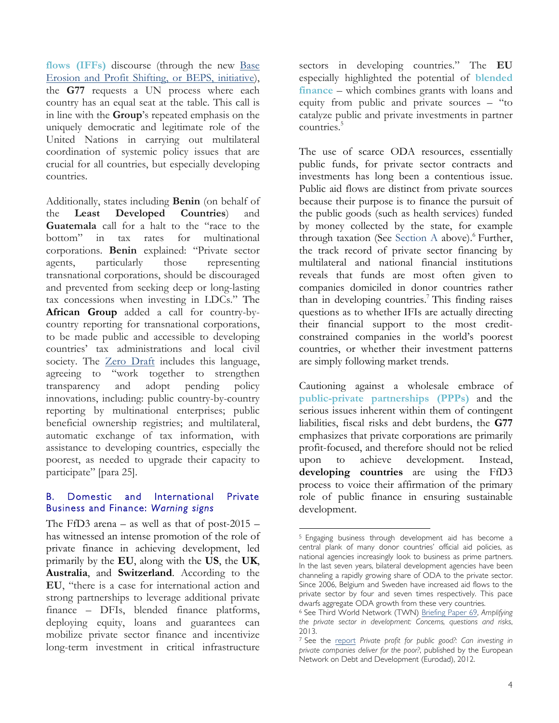**flows (IFFs)** discourse (through the new [Base](http://www.oecd.org/ctp/beps.htm)  [Erosion and Profit Shifting, or BEPS, initiative\)](http://www.oecd.org/ctp/beps.htm), the **G77** requests a UN process where each country has an equal seat at the table. This call is in line with the **Group**'s repeated emphasis on the uniquely democratic and legitimate role of the United Nations in carrying out multilateral coordination of systemic policy issues that are crucial for all countries, but especially developing countries.

Additionally, states including **Benin** (on behalf of the **Least Developed Countries**) and **Guatemala** call for a halt to the "race to the bottom" in tax rates for multinational corporations. **Benin** explained: "Private sector agents, particularly those representing transnational corporations, should be discouraged and prevented from seeking deep or long-lasting tax concessions when investing in LDCs." The **African Group** added a call for country-bycountry reporting for transnational corporations, to be made public and accessible to developing countries' tax administrations and local civil society. The [Zero Draft](http://www.un.org/esa/ffd/wp-content/uploads/2015/03/1ds-zero-draft-outcome.pdf) includes this language, agreeing to "work together to strengthen transparency and adopt pending policy innovations, including: public country-by-country reporting by multinational enterprises; public beneficial ownership registries; and multilateral, automatic exchange of tax information, with assistance to developing countries, especially the poorest, as needed to upgrade their capacity to participate" [para 25].

### B. Domestic and International Private Business and Finance: *Warning signs*

The FfD3 arena – as well as that of post- $2015$ has witnessed an intense promotion of the role of private finance in achieving development, led primarily by the **EU**, along with the **US**, the **UK**, **Australia**, and **Switzerland**. According to the **EU**, "there is a case for international action and strong partnerships to leverage additional private finance – DFIs, blended finance platforms, deploying equity, loans and guarantees can mobilize private sector finance and incentivize long-term investment in critical infrastructure

sectors in developing countries." The **EU** especially highlighted the potential of **blended finance** – which combines grants with loans and equity from public and private sources – "to catalyze public and private investments in partner countries.<sup>5</sup>

The use of scarce ODA resources, essentially public funds, for private sector contracts and investments has long been a contentious issue. Public aid flows are distinct from private sources because their purpose is to finance the pursuit of the public goods (such as health services) funded by money collected by the state, for example through taxation (See Section A above).<sup>6</sup> Further, the track record of private sector financing by multilateral and national financial institutions reveals that funds are most often given to companies domiciled in donor countries rather than in developing countries. <sup>7</sup> This finding raises questions as to whether IFIs are actually directing their financial support to the most creditconstrained companies in the world's poorest countries, or whether their investment patterns are simply following market trends.

Cautioning against a wholesale embrace of **public-private partnerships (PPPs)** and the serious issues inherent within them of contingent liabilities, fiscal risks and debt burdens, the **G77** emphasizes that private corporations are primarily profit-focused, and therefore should not be relied upon to achieve development. Instead, **developing countries** are using the FfD3 process to voice their affirmation of the primary role of public finance in ensuring sustainable development.

 

<sup>5</sup> Engaging business through development aid has become a central plank of many donor countries' official aid policies, as national agencies increasingly look to business as prime partners. In the last seven years, bilateral development agencies have been channeling a rapidly growing share of ODA to the private sector. Since 2006, Belgium and Sweden have increased aid flows to the private sector by four and seven times respectively. This pace dwarfs aggregate ODA growth from these very countries.

<sup>6</sup> See Third World Network (TWN) [Briefing Paper 69,](http://www.twn.my/title2/briefing_papers/No69.pdf) *Amplifying the private sector in development: Concerns, questions and risks*, 2013.

<sup>7</sup> See the [report](http://www.eurodad.org/Entries/view/1543000/2012/05/29/Private-profit-for-public-good-Can-investing-in-private-companies-deliver-for-the-poor) *Private profit for public good?: Can investing in private companies deliver for the poor?*, published by the European Network on Debt and Development (Eurodad), 2012.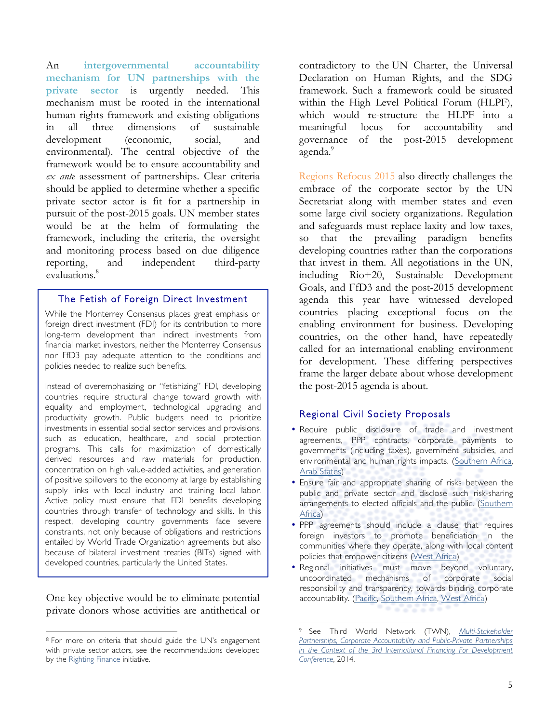An **intergovernmental accountability mechanism for UN partnerships with the private sector** is urgently needed. This mechanism must be rooted in the international human rights framework and existing obligations in all three dimensions of sustainable development (economic, social, and environmental). The central objective of the framework would be to ensure accountability and *ex ante* assessment of partnerships. Clear criteria should be applied to determine whether a specific private sector actor is fit for a partnership in pursuit of the post-2015 goals. UN member states would be at the helm of formulating the framework, including the criteria, the oversight and monitoring process based on due diligence reporting, and independent third-party evaluations.<sup>8</sup>

### The Fetish of Foreign Direct Investment

While the Monterrey Consensus places great emphasis on foreign direct investment (FDI) for its contribution to more long-term development than indirect investments from financial market investors, neither the Monterrey Consensus nor FfD3 pay adequate attention to the conditions and policies needed to realize such benefits.

Instead of overemphasizing or "fetishizing" FDI, developing countries require structural change toward growth with equality and employment, technological upgrading and productivity growth. Public budgets need to prioritize investments in essential social sector services and provisions, such as education, healthcare, and social protection programs. This calls for maximization of domestically derived resources and raw materials for production, concentration on high value-added activities, and generation of positive spillovers to the economy at large by establishing supply links with local industry and training local labor. Active policy must ensure that FDI benefits developing countries through transfer of technology and skills. In this respect, developing country governments face severe constraints, not only because of obligations and restrictions entailed by World Trade Organization agreements but also because of bilateral investment treaties (BITs) signed with developed countries, particularly the United States.

One key objective would be to eliminate potential private donors whose activities are antithetical or

 

contradictory to the UN Charter, the Universal Declaration on Human Rights, and the SDG framework. Such a framework could be situated within the High Level Political Forum (HLPF), which would re-structure the HLPF into a meaningful locus for accountability and governance of the post-2015 development agenda.<sup>9</sup>

Regions Refocus 2015 also directly challenges the embrace of the corporate sector by the UN Secretariat along with member states and even some large civil society organizations. Regulation and safeguards must replace laxity and low taxes, so that the prevailing paradigm benefits developing countries rather than the corporations that invest in them. All negotiations in the UN, including Rio+20, Sustainable Development Goals, and FfD3 and the post-2015 development agenda this year have witnessed developed countries placing exceptional focus on the enabling environment for business. Developing countries, on the other hand, have repeatedly called for an international enabling environment for development. These differing perspectives frame the larger debate about whose development the post-2015 agenda is about.

### Regional Civil Society Proposals

- Require public disclosure of trade and investment agreements, PPP contracts, corporate payments to governments (including taxes), government subsidies, and environmental and human rights impacts. [\(Southern Africa](http://www.daghammarskjold.se/event/infrastructure-development-africa-high-ambitions-high-risks/), [Arab States](http://www.daghammarskjold.se/event/addressing-social-economic-inequalities-need-new-paradigm/))
- Ensure fair and appropriate sharing of risks between the public and private sector and disclose such risk-sharing arrangements to elected officials and the public. ([Southern](http://www.daghammarskjold.se/event/infrastructure-development-africa-high-ambitions-high-risks/) [Africa](http://www.daghammarskjold.se/event/infrastructure-development-africa-high-ambitions-high-risks/))
- PPP agreements should include a clause that requires foreign investors to promote beneficiation in the communities where they operate, along with local content policies that empower citizens ([West Africa\)](http://www.daghammarskjold.se/event/accelerating-implementation-africa-mining-vision-ecowas-minerals-development-policy/)
- Regional initiatives must move beyond voluntary, uncoordinated mechanisms of corporate social responsibility and transparency, towards binding corporate accountability. (Pacific, [Southern Africa,](http://www.daghammarskjold.se/event/infrastructure-development-africa-high-ambitions-high-risks/) [West Africa\)](http://www.daghammarskjold.se/event/accelerating-implementation-africa-mining-vision-ecowas-minerals-development-policy/)

<sup>8</sup> For more on criteria that should guide the UN's engagement with private sector actors, see the recommendations developed by the [Righting Finance](http://www.rightingfinance.org) initiative.

 <sup>9</sup> See Third World Network (TWN), *Multi-Stakeholder Partnerships, [Corporate Accountability and Public-Private Partnerships](http://www.un.org/esa/ffd////wp-content/uploads/2014/12/12Dec14-statement-TWN-partnerships.pdf)  [in the Cont](http://www.un.org/esa/ffd////wp-content/uploads/2014/12/12Dec14-statement-TWN-partnerships.pdf)ext of the 3rd International Financing For Development Conference*, 2014.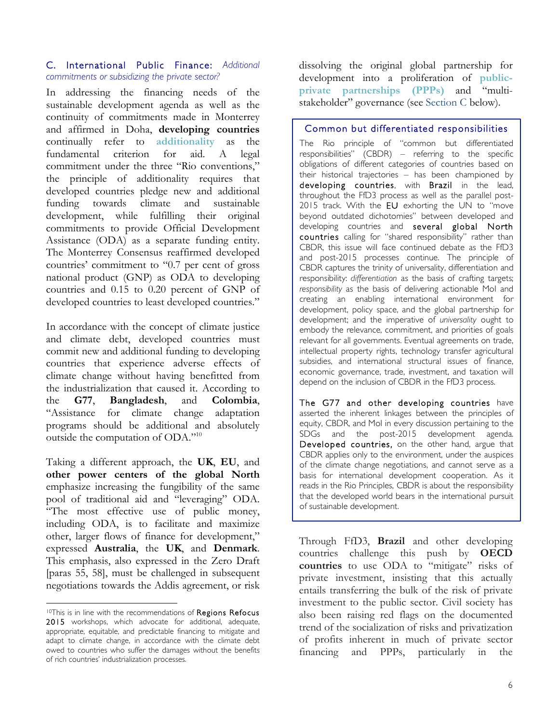### C. International Public Finance: *Additional commitments or subsidizing the private sector?*

In addressing the financing needs of the sustainable development agenda as well as the continuity of commitments made in Monterrey and affirmed in Doha, **developing countries** continually refer to **additionality** as the fundamental criterion for aid. A legal commitment under the three "Rio conventions," the principle of additionality requires that developed countries pledge new and additional funding towards climate and sustainable development, while fulfilling their original commitments to provide Official Development Assistance (ODA) as a separate funding entity. The Monterrey Consensus reaffirmed developed countries' commitment to "0.7 per cent of gross national product (GNP) as ODA to developing countries and 0.15 to 0.20 percent of GNP of developed countries to least developed countries."

In accordance with the concept of climate justice and climate debt, developed countries must commit new and additional funding to developing countries that experience adverse effects of climate change without having benefitted from the industrialization that caused it. According to the **G77**, **Bangladesh**, and **Colombia**, "Assistance for climate change adaptation programs should be additional and absolutely outside the computation of ODA."<sup>10</sup>

Taking a different approach, the **UK**, **EU**, and **other power centers of the global North** emphasize increasing the fungibility of the same pool of traditional aid and "leveraging" ODA. "The most effective use of public money, including ODA, is to facilitate and maximize other, larger flows of finance for development," expressed **Australia**, the **UK**, and **Denmark**. This emphasis, also expressed in the Zero Draft [paras 55, 58], must be challenged in subsequent negotiations towards the Addis agreement, or risk

 

dissolving the original global partnership for development into a proliferation of **publicprivate partnerships (PPPs)** and "multistakeholder" governance (see Section C below).

### Common but differentiated responsibilities

The Rio principle of "common but differentiated responsibilities" (CBDR) – referring to the specific obligations of different categories of countries based on their historical trajectories – has been championed by developing countries, with Brazil in the lead, throughout the FfD3 process as well as the parallel post-2015 track. With the EU exhorting the UN to "move beyond outdated dichotomies" between developed and developing countries and several global North countries calling for "shared responsibility" rather than CBDR, this issue will face continued debate as the FfD3 and post-2015 processes continue. The principle of CBDR captures the trinity of universality, differentiation and responsibility: *differentiation* as the basis of crafting targets; *responsibility* as the basis of delivering actionable MoI and creating an enabling international environment for development, policy space, and the global partnership for development; and the imperative of *universality* ought to embody the relevance, commitment, and priorities of goals relevant for all governments. Eventual agreements on trade, intellectual property rights, technology transfer agricultural subsidies, and international structural issues of finance, economic governance, trade, investment, and taxation will depend on the inclusion of CBDR in the FfD3 process.

The G77 and other developing countries have asserted the inherent linkages between the principles of equity, CBDR, and MoI in every discussion pertaining to the SDGs and the post-2015 development agenda. Developed countries, on the other hand, argue that CBDR applies only to the environment, under the auspices of the climate change negotiations, and cannot serve as a basis for international development cooperation. As it reads in the Rio Principles, CBDR is about the responsibility that the developed world bears in the international pursuit of sustainable development.

Through FfD3, **Brazil** and other developing countries challenge this push by **OECD countries** to use ODA to "mitigate" risks of private investment, insisting that this actually entails transferring the bulk of the risk of private investment to the public sector. Civil society has also been raising red flags on the documented trend of the socialization of risks and privatization of profits inherent in much of private sector financing and PPPs, particularly in the

<sup>10</sup>This is in line with the recommendations of Regions Refocus 2015 workshops, which advocate for additional, adequate, appropriate, equitable, and predictable financing to mitigate and adapt to climate change, in accordance with the climate debt owed to countries who suffer the damages without the benefits of rich countries' industrialization processes.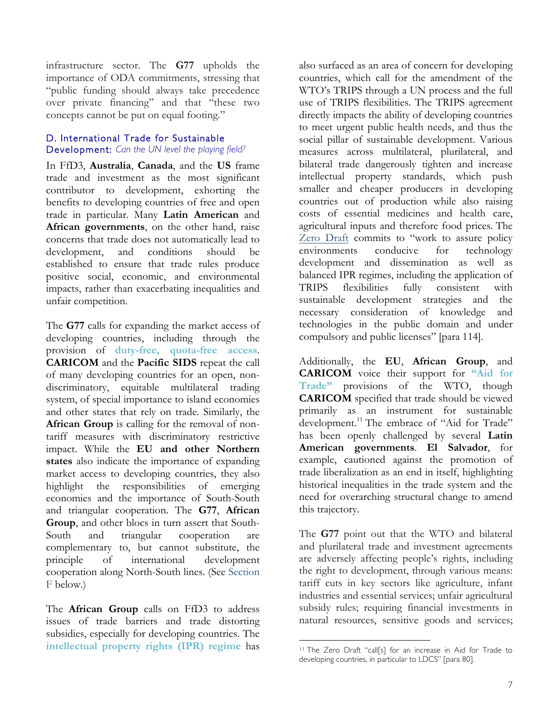infrastructure sector. The **G77** upholds the importance of ODA commitments, stressing that "public funding should always take precedence over private financing" and that "these two concepts cannot be put on equal footing."

## D. International Trade for Sustainable

### Development: *Can the UN level the playing field?*

In FfD3, **Australia**, **Canada**, and the **US** frame trade and investment as the most significant contributor to development, exhorting the benefits to developing countries of free and open trade in particular. Many **Latin American** and **African governments**, on the other hand, raise concerns that trade does not automatically lead to development, and conditions should be established to ensure that trade rules produce positive social, economic, and environmental impacts, rather than exacerbating inequalities and unfair competition.

The **G77** calls for expanding the market access of developing countries, including through the provision of **duty-free, quota-free access**. **CARICOM** and the **Pacific SIDS** repeat the call of many developing countries for an open, nondiscriminatory, equitable multilateral trading system, of special importance to island economies and other states that rely on trade. Similarly, the **African Group** is calling for the removal of nontariff measures with discriminatory restrictive impact. While the **EU and other Northern states** also indicate the importance of expanding market access to developing countries, they also highlight the responsibilities of emerging economies and the importance of South-South and triangular cooperation. The **G77**, **African Group**, and other blocs in turn assert that South-South and triangular cooperation are complementary to, but cannot substitute, the principle of international development cooperation along North-South lines. (See Section F below.)

The **African Group** calls on FfD3 to address issues of trade barriers and trade distorting subsidies, especially for developing countries. The **intellectual property rights (IPR) regime** has

also surfaced as an area of concern for developing countries, which call for the amendment of the WTO's TRIPS through a UN process and the full use of TRIPS flexibilities. The TRIPS agreement directly impacts the ability of developing countries to meet urgent public health needs, and thus the social pillar of sustainable development. Various measures across multilateral, plurilateral, and bilateral trade dangerously tighten and increase intellectual property standards, which push smaller and cheaper producers in developing countries out of production while also raising costs of essential medicines and health care, agricultural inputs and therefore food prices. The [Zero Draft](http://www.un.org/esa/ffd/wp-content/uploads/2015/03/1ds-zero-draft-outcome.pdf) commits to "work to assure policy environments conducive for technology development and dissemination as well as balanced IPR regimes, including the application of TRIPS flexibilities fully consistent with sustainable development strategies and the necessary consideration of knowledge and technologies in the public domain and under compulsory and public licenses" [para 114].

Additionally, the **EU**, **African Group**, and **CARICOM** voice their support for **"Aid for Trade"** provisions of the WTO, though **CARICOM** specified that trade should be viewed primarily as an instrument for sustainable development.<sup>11</sup> The embrace of "Aid for Trade" has been openly challenged by several **Latin American governments**. **El Salvador**, for example, cautioned against the promotion of trade liberalization as an end in itself, highlighting historical inequalities in the trade system and the need for overarching structural change to amend this trajectory.

The **G77** point out that the WTO and bilateral and plurilateral trade and investment agreements are adversely affecting people's rights, including the right to development, through various means: tariff cuts in key sectors like agriculture, infant industries and essential services; unfair agricultural subsidy rules; requiring financial investments in natural resources, sensitive goods and services;

 

<sup>11</sup> The Zero Draft "call[s] for an increase in Aid for Trade to developing countries, in particular to LDCS" [para 80].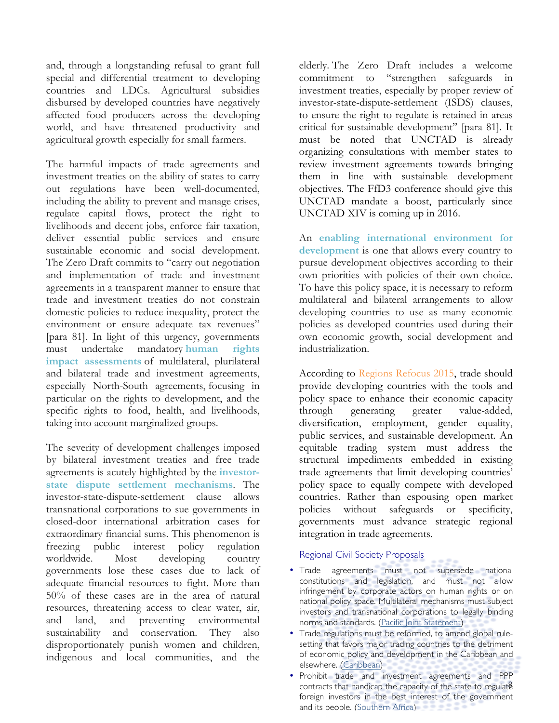and, through a longstanding refusal to grant full special and differential treatment to developing countries and LDCs. Agricultural subsidies disbursed by developed countries have negatively affected food producers across the developing world, and have threatened productivity and agricultural growth especially for small farmers.

The harmful impacts of trade agreements and investment treaties on the ability of states to carry out regulations have been well-documented, including the ability to prevent and manage crises, regulate capital flows, protect the right to livelihoods and decent jobs, enforce fair taxation, deliver essential public services and ensure sustainable economic and social development. The Zero Draft commits to "carry out negotiation and implementation of trade and investment agreements in a transparent manner to ensure that trade and investment treaties do not constrain domestic policies to reduce inequality, protect the environment or ensure adequate tax revenues" [para 81]. In light of this urgency, governments must undertake mandatory **human rights impact assessments** of multilateral, plurilateral and bilateral trade and investment agreements, especially North-South agreements, focusing in particular on the rights to development, and the specific rights to food, health, and livelihoods, taking into account marginalized groups.

The severity of development challenges imposed by bilateral investment treaties and free trade agreements is acutely highlighted by the **investorstate dispute settlement mechanisms**. The investor-state-dispute-settlement clause allows transnational corporations to sue governments in closed-door international arbitration cases for extraordinary financial sums. This phenomenon is freezing public interest policy regulation worldwide. Most developing country governments lose these cases due to lack of adequate financial resources to fight. More than 50% of these cases are in the area of natural resources, threatening access to clear water, air, and land, and preventing environmental sustainability and conservation. They also disproportionately punish women and children, indigenous and local communities, and the

elderly. The [Zero Draft](http://www.un.org/esa/ffd/wp-content/uploads/2015/03/1ds-zero-draft-outcome.pdf) includes a welcome commitment to "strengthen safeguards in investment treaties, especially by proper review of investor-state-dispute-settlement (ISDS) clauses, to ensure the right to regulate is retained in areas critical for sustainable development" [para 81]. It must be noted that UNCTAD is already organizing consultations with member states to review investment agreements towards bringing them in line with sustainable development objectives. The FfD3 conference should give this UNCTAD mandate a boost, particularly since UNCTAD XIV is coming up in 2016.

An **enabling international environment for development** is one that allows every country to pursue development objectives according to their own priorities with policies of their own choice. To have this policy space, it is necessary to reform multilateral and bilateral arrangements to allow developing countries to use as many economic policies as developed countries used during their own economic growth, social development and industrialization.

According to Regions Refocus 2015, trade should provide developing countries with the tools and policy space to enhance their economic capacity through generating greater value-added, diversification, employment, gender equality, public services, and sustainable development. An equitable trading system must address the structural impediments embedded in existing trade agreements that limit developing countries' policy space to equally compete with developed countries. Rather than espousing open market policies without safeguards or specificity, governments must advance strategic regional integration in trade agreements.

### Regional Civil Society Proposals

- Trade agreements must not supersede national constitutions and legislation, and must not allow infringement by corporate actors on human rights or on national policy space. Multilateral mechanisms must subject investors and transnational corporations to legally binding norms and standards. ([Pacific Joint Statement\)](http://www.daghammarskjold.se/wp-content/uploads/2014/12/Initiative-1.pdf)
- Trade regulations must be reformed, to amend global rulesetting that favors major trading countries to the detriment of economic policy and development in the Caribbean and elsewhere. ([Caribbean\)](http://www.daghammarskjold.se/event/caribbean-partnerships-economic-justice-sustainability/)
- contracts that handicap the capacity of the state to regulate • Prohibit trade and investment agreements and PPP foreign investors in the best interest of the government and its people. ([Southern Africa\)](http://www.daghammarskjold.se/event/infrastructure-development-africa-high-ambitions-high-risks/)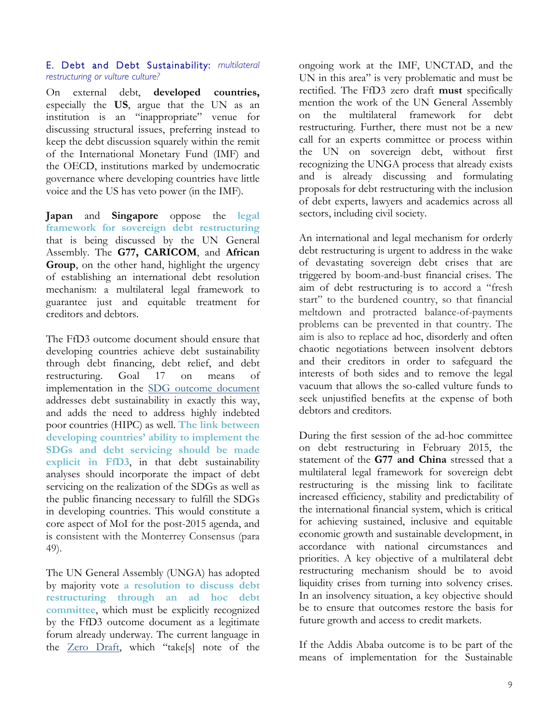### E. Debt and Debt Sustainability: *multilateral restructuring or vulture culture?*

On external debt, **developed countries,** especially the **US**, argue that the UN as an institution is an "inappropriate" venue for discussing structural issues, preferring instead to keep the debt discussion squarely within the remit of the International Monetary Fund (IMF) and the OECD, institutions marked by undemocratic governance where developing countries have little voice and the US has veto power (in the IMF).

**Japan** and **Singapore** oppose the **legal framework for sovereign debt restructuring** that is being discussed by the UN General Assembly. The **G77, CARICOM**, and **African Group**, on the other hand, highlight the urgency of establishing an international debt resolution mechanism: a multilateral legal framework to guarantee just and equitable treatment for creditors and debtors.

The FfD3 outcome document should ensure that developing countries achieve debt sustainability through debt financing, debt relief, and debt restructuring. Goal 17 on means of implementation in the [SDG outcome document](https://sustainabledevelopment.un.org/index.php?page=view&type=400&nr=1579&menu=1300) addresses debt sustainability in exactly this way, and adds the need to address highly indebted poor countries (HIPC) as well. **The link between developing countries' ability to implement the SDGs and debt servicing should be made explicit in FfD3**, in that debt sustainability analyses should incorporate the impact of debt servicing on the realization of the SDGs as well as the public financing necessary to fulfill the SDGs in developing countries. This would constitute a core aspect of MoI for the post-2015 agenda, and is consistent with the Monterrey Consensus (para 49).

The UN General Assembly (UNGA) has adopted by majority vote **a resolution to discuss debt restructuring through an ad hoc debt committee**, which must be explicitly recognized by the FfD3 outcome document as a legitimate forum already underway. The current language in the [Zero Draft,](http://www.un.org/esa/ffd/wp-content/uploads/2015/03/1ds-zero-draft-outcome.pdf) which "take[s] note of the

ongoing work at the IMF, UNCTAD, and the UN in this area" is very problematic and must be rectified. The FfD3 zero draft **must** specifically mention the work of the UN General Assembly on the multilateral framework for debt restructuring. Further, there must not be a new call for an experts committee or process within the UN on sovereign debt, without first recognizing the UNGA process that already exists and is already discussing and formulating proposals for debt restructuring with the inclusion of debt experts, lawyers and academics across all sectors, including civil society.

An international and legal mechanism for orderly debt restructuring is urgent to address in the wake of devastating sovereign debt crises that are triggered by boom-and-bust financial crises. The aim of debt restructuring is to accord a "fresh start" to the burdened country, so that financial meltdown and protracted balance-of-payments problems can be prevented in that country. The aim is also to replace ad hoc, disorderly and often chaotic negotiations between insolvent debtors and their creditors in order to safeguard the interests of both sides and to remove the legal vacuum that allows the so-called vulture funds to seek unjustified benefits at the expense of both debtors and creditors.

During the first session of the ad-hoc committee on debt restructuring in February 2015, the statement of the **G77 and China** stressed that a multilateral legal framework for sovereign debt restructuring is the missing link to facilitate increased efficiency, stability and predictability of the international financial system, which is critical for achieving sustained, inclusive and equitable economic growth and sustainable development, in accordance with national circumstances and priorities. A key objective of a multilateral debt restructuring mechanism should be to avoid liquidity crises from turning into solvency crises. In an insolvency situation, a key objective should be to ensure that outcomes restore the basis for future growth and access to credit markets.

If the Addis Ababa outcome is to be part of the means of implementation for the Sustainable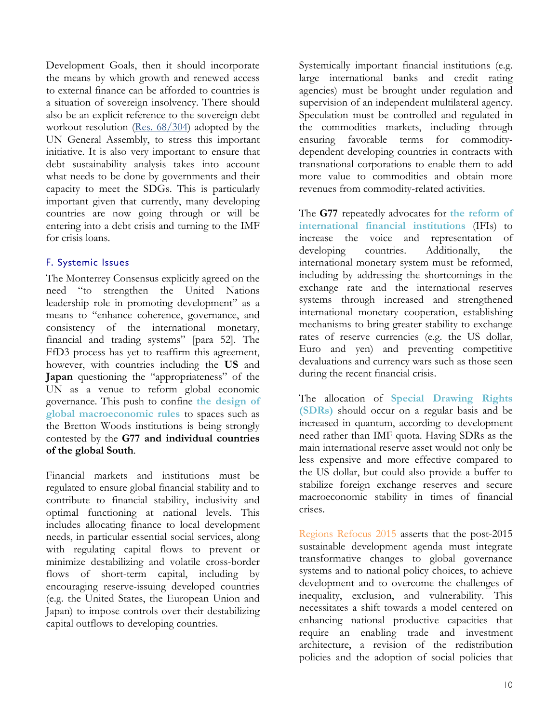Development Goals, then it should incorporate the means by which growth and renewed access to external finance can be afforded to countries is a situation of sovereign insolvency. There should also be an explicit reference to the sovereign debt workout resolution [\(Res. 68/304\)](http://www.un.org/en/ga/search/view_doc.asp?symbol=A/RES/68/304) adopted by the UN General Assembly, to stress this important initiative. It is also very important to ensure that debt sustainability analysis takes into account what needs to be done by governments and their capacity to meet the SDGs. This is particularly important given that currently, many developing countries are now going through or will be entering into a debt crisis and turning to the IMF for crisis loans.

### F. Systemic Issues

The Monterrey Consensus explicitly agreed on the need "to strengthen the United Nations leadership role in promoting development" as a means to "enhance coherence, governance, and consistency of the international monetary, financial and trading systems" [para 52]. The FfD3 process has yet to reaffirm this agreement, however, with countries including the **US** and **Japan** questioning the "appropriateness" of the UN as a venue to reform global economic governance. This push to confine **the design of global macroeconomic rules** to spaces such as the Bretton Woods institutions is being strongly contested by the **G77 and individual countries of the global South**.

Financial markets and institutions must be regulated to ensure global financial stability and to contribute to financial stability, inclusivity and optimal functioning at national levels. This includes allocating finance to local development needs, in particular essential social services, along with regulating capital flows to prevent or minimize destabilizing and volatile cross-border flows of short-term capital, including by encouraging reserve-issuing developed countries (e.g. the United States, the European Union and Japan) to impose controls over their destabilizing capital outflows to developing countries.

Systemically important financial institutions (e.g. large international banks and credit rating agencies) must be brought under regulation and supervision of an independent multilateral agency. Speculation must be controlled and regulated in the commodities markets, including through ensuring favorable terms for commoditydependent developing countries in contracts with transnational corporations to enable them to add more value to commodities and obtain more revenues from commodity-related activities.

The **G77** repeatedly advocates for **the reform of international financial institutions** (IFIs) to increase the voice and representation of developing countries. Additionally, the international monetary system must be reformed, including by addressing the shortcomings in the exchange rate and the international reserves systems through increased and strengthened international monetary cooperation, establishing mechanisms to bring greater stability to exchange rates of reserve currencies (e.g. the US dollar, Euro and yen) and preventing competitive devaluations and currency wars such as those seen during the recent financial crisis.

The allocation of **Special Drawing Rights (SDRs)** should occur on a regular basis and be increased in quantum, according to development need rather than IMF quota. Having SDRs as the main international reserve asset would not only be less expensive and more effective compared to the US dollar, but could also provide a buffer to stabilize foreign exchange reserves and secure macroeconomic stability in times of financial crises.

Regions Refocus 2015 asserts that the post-2015 sustainable development agenda must integrate transformative changes to global governance systems and to national policy choices, to achieve development and to overcome the challenges of inequality, exclusion, and vulnerability. This necessitates a shift towards a model centered on enhancing national productive capacities that require an enabling trade and investment architecture, a revision of the redistribution policies and the adoption of social policies that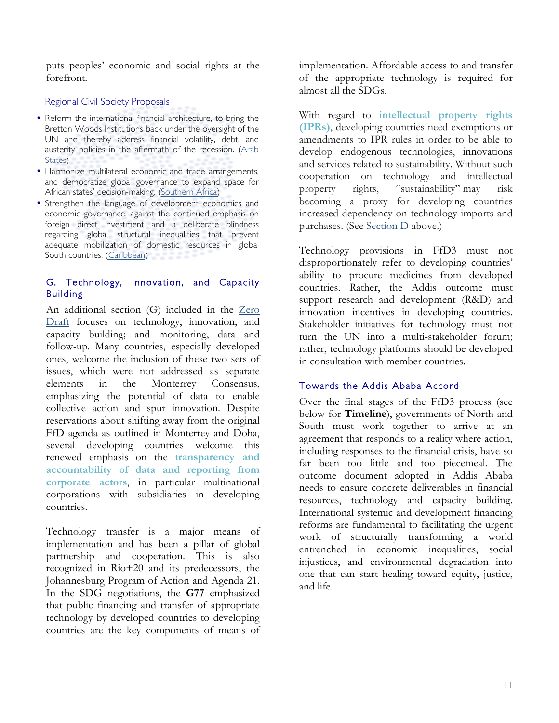puts peoples' economic and social rights at the forefront.

### Regional Civil Society Proposals

- Reform the international financial architecture, to bring the Bretton Woods Institutions back under the oversight of the UN and thereby address financial volatility, debt, and austerity policies in the aftermath of the recession. (Arab [States](http://www.daghammarskjold.se/event/addressing-social-economic-inequalities-need-new-paradigm/))
- Harmonize multilateral economic and trade arrangements, and democratize global governance to expand space for African states' decision-making. ([Southern Africa\)](http://www.daghammarskjold.se/event/infrastructure-development-africa-high-ambitions-high-risks/)
- Strengthen the language of development economics and economic governance, against the continued emphasis on foreign direct investment and a deliberate blindness regarding global structural inequalities that prevent adequate mobilization of domestic resources in global South countries. ([Caribbean](http://www.daghammarskjold.se/event/caribbean-partnerships-economic-justice-sustainability/))

### G. Technology, Innovation, and Capacity Building

An additional section (G) included in the [Zero](http://www.un.org/esa/ffd/wp-content/uploads/2015/03/1ds-zero-draft-outcome.pdf) [Draft](http://www.un.org/esa/ffd/wp-content/uploads/2015/03/1ds-zero-draft-outcome.pdf) focuses on technology, innovation, and capacity building; and monitoring, data and follow-up. Many countries, especially developed ones, welcome the inclusion of these two sets of issues, which were not addressed as separate elements in the Monterrey Consensus, emphasizing the potential of data to enable collective action and spur innovation. Despite reservations about shifting away from the original FfD agenda as outlined in Monterrey and Doha, several developing countries welcome this renewed emphasis on the **transparency and accountability of data and reporting from corporate actors**, in particular multinational corporations with subsidiaries in developing countries.

Technology transfer is a major means of implementation and has been a pillar of global partnership and cooperation. This is also recognized in Rio+20 and its predecessors, the Johannesburg Program of Action and Agenda 21. In the SDG negotiations, the **G77** emphasized that public financing and transfer of appropriate technology by developed countries to developing countries are the key components of means of

implementation. Affordable access to and transfer of the appropriate technology is required for almost all the SDGs.

With regard to **intellectual property rights (IPRs)**, developing countries need exemptions or amendments to IPR rules in order to be able to develop endogenous technologies, innovations and services related to sustainability. Without such cooperation on technology and intellectual property rights, "sustainability" may risk becoming a proxy for developing countries increased dependency on technology imports and purchases. (See Section D above.)

Technology provisions in FfD3 must not disproportionately refer to developing countries' ability to procure medicines from developed countries. Rather, the Addis outcome must support research and development (R&D) and innovation incentives in developing countries. Stakeholder initiatives for technology must not turn the UN into a multi-stakeholder forum; rather, technology platforms should be developed in consultation with member countries.

### Towards the Addis Ababa Accord

Over the final stages of the FfD3 process (see below for **Timeline**), governments of North and South must work together to arrive at an agreement that responds to a reality where action, including responses to the financial crisis, have so far been too little and too piecemeal. The outcome document adopted in Addis Ababa needs to ensure concrete deliverables in financial resources, technology and capacity building. International systemic and development financing reforms are fundamental to facilitating the urgent work of structurally transforming a world entrenched in economic inequalities, social injustices, and environmental degradation into one that can start healing toward equity, justice, and life.